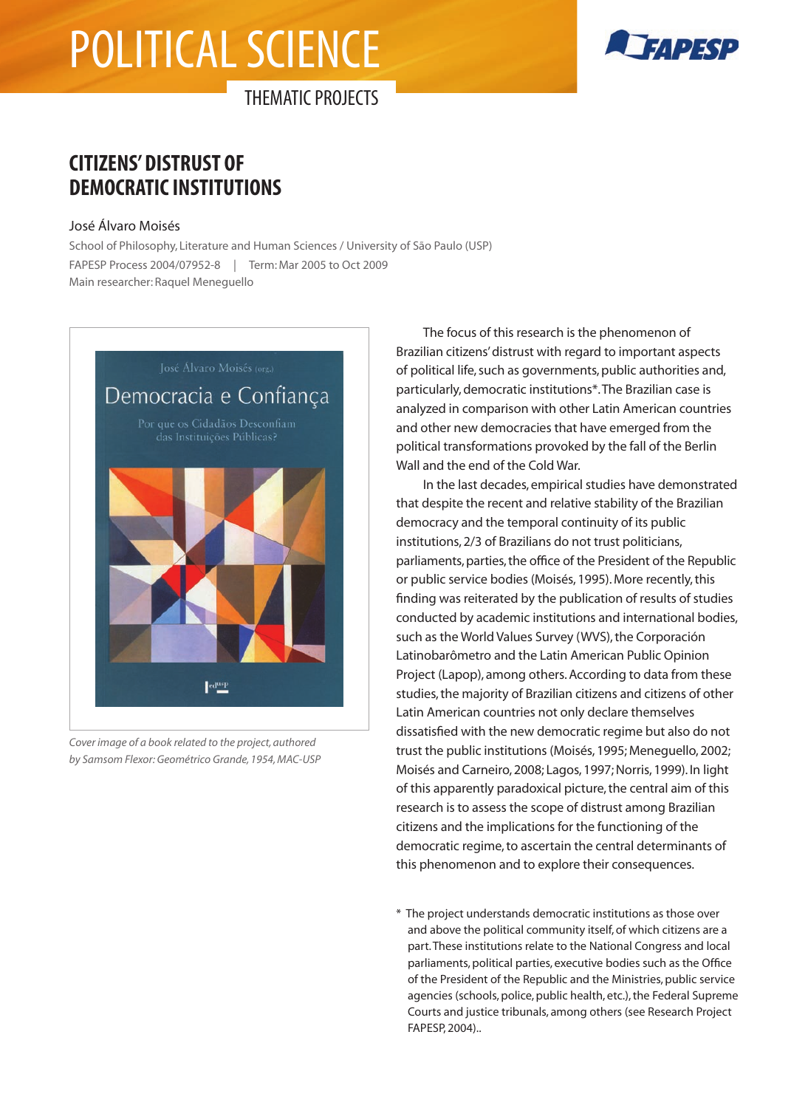# political science



THEMATIC PROJECTS

## **CITIZENS' DISTRUST OF DEMOCRATIC INSTITUTIONS**

#### José Álvaro Moisés

School of Philosophy, Literature and Human Sciences / University of São Paulo (USP) FAPESP Process 2004/07952-8 | Term: Mar 2005 to Oct 2009 Main researcher: Raquel Meneguello



*Cover image of a book related to the project, authored by Samsom Flexor: Geométrico Grande, 1954, MAC-USP*

The focus of this research is the phenomenon of Brazilian citizens' distrust with regard to important aspects of political life, such as governments, public authorities and, particularly, democratic institutions\*. The Brazilian case is analyzed in comparison with other Latin American countries and other new democracies that have emerged from the political transformations provoked by the fall of the Berlin Wall and the end of the Cold War.

In the last decades, empirical studies have demonstrated that despite the recent and relative stability of the Brazilian democracy and the temporal continuity of its public institutions, 2/3 of Brazilians do not trust politicians, parliaments, parties, the office of the President of the Republic or public service bodies (Moisés, 1995). More recently, this finding was reiterated by the publication of results of studies conducted by academic institutions and international bodies, such as the World Values Survey (WVS), the Corporación Latinobarômetro and the Latin American Public Opinion Project (Lapop), among others. According to data from these studies, the majority of Brazilian citizens and citizens of other Latin American countries not only declare themselves dissatisfied with the new democratic regime but also do not trust the public institutions (Moisés, 1995; Meneguello, 2002; Moisés and Carneiro, 2008; Lagos, 1997; Norris, 1999). In light of this apparently paradoxical picture, the central aim of this research is to assess the scope of distrust among Brazilian citizens and the implications for the functioning of the democratic regime, to ascertain the central determinants of this phenomenon and to explore their consequences.

\* The project understands democratic institutions as those over and above the political community itself, of which citizens are a part. These institutions relate to the National Congress and local parliaments, political parties, executive bodies such as the Office of the President of the Republic and the Ministries, public service agencies (schools, police, public health, etc.), the Federal Supreme Courts and justice tribunals, among others (see Research Project FAPESP, 2004)..